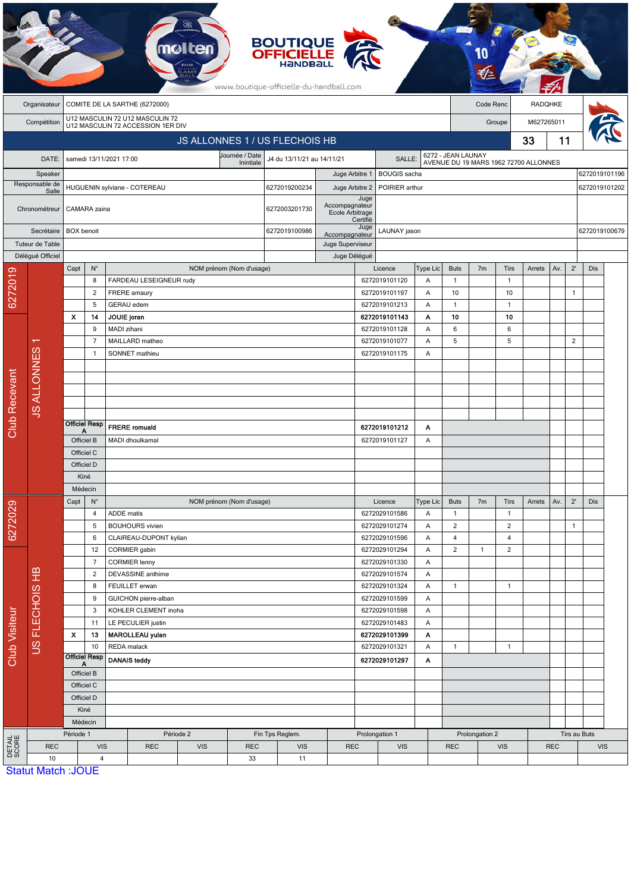|                 |                           |                                                                     |                          | mø                                           |                          |                             | <b>BOUTIQUE<br/>OFFICIELLE</b><br>www.boutique-officielle-du-handball.com |                                  |                          |                                          |                                                             |                             |                |                             |            |              |                                |               |  |
|-----------------|---------------------------|---------------------------------------------------------------------|--------------------------|----------------------------------------------|--------------------------|-----------------------------|---------------------------------------------------------------------------|----------------------------------|--------------------------|------------------------------------------|-------------------------------------------------------------|-----------------------------|----------------|-----------------------------|------------|--------------|--------------------------------|---------------|--|
|                 | Organisateur              | COMITE DE LA SARTHE (6272000)                                       |                          |                                              |                          |                             |                                                                           |                                  |                          |                                          | Code Renc                                                   |                             |                |                             | RADQHKE    |              |                                |               |  |
|                 | Compétition               | U12 MASCULIN 72 U12 MASCULIN 72                                     |                          |                                              |                          |                             |                                                                           |                                  |                          | Groupe                                   |                                                             |                             |                | M627265011                  |            |              |                                |               |  |
|                 |                           | U12 MASCULIN 72 ACCESSION 1ER DIV<br>JS ALLONNES 1 / US FLECHOIS HB |                          |                                              |                          |                             |                                                                           |                                  |                          |                                          |                                                             |                             |                |                             | 33         | 11           |                                |               |  |
|                 |                           |                                                                     |                          |                                              |                          | Journée / Date<br>Inintiale | J4 du 13/11/21 au 14/11/21<br>SALLE:                                      |                                  |                          |                                          |                                                             |                             |                |                             |            |              |                                |               |  |
|                 | DATE:                     |                                                                     |                          | samedi 13/11/2021 17:00                      |                          |                             |                                                                           |                                  | <b>BOUGIS</b> sacha      |                                          | 6272 - JEAN LAUNAY<br>AVENUE DU 19 MARS 1962 72700 ALLONNES |                             |                |                             |            |              |                                |               |  |
|                 | Speaker<br>Responsable de | HUGUENIN sylviane - COTEREAU                                        |                          |                                              |                          |                             | 6272019200234                                                             | Juge Arbitre 1<br>Juge Arbitre 2 |                          | POIRIER arthur                           |                                                             |                             |                |                             |            |              | 6272019101196<br>6272019101202 |               |  |
|                 | Salle<br>Chronométreur    |                                                                     | CAMARA zaina             |                                              |                          | 6272003201730               | Accompagnateur<br>Ecole Arbitrage                                         | Juge<br>Certifié                 |                          |                                          |                                                             |                             |                |                             |            |              |                                |               |  |
|                 | Secrétaire                |                                                                     | <b>BOX</b> benoit        |                                              |                          |                             |                                                                           | Accompagnateur                   | Juge                     | LAUNAY jason                             |                                                             |                             |                |                             |            |              |                                | 6272019100679 |  |
|                 | Tuteur de Table           |                                                                     |                          |                                              |                          |                             | Juge Superviseur                                                          |                                  |                          |                                          |                                                             |                             |                |                             |            |              |                                |               |  |
|                 | Délégué Officiel          |                                                                     |                          |                                              |                          |                             |                                                                           | Juge Délégué                     |                          |                                          |                                                             |                             |                |                             |            |              |                                |               |  |
|                 |                           | Capt                                                                | $N^{\circ}$<br>8         | FARDEAU LESEIGNEUR rudy                      | NOM prénom (Nom d'usage) |                             |                                                                           |                                  |                          | Licence<br>6272019101120                 | Type Lic<br>Α                                               | <b>Buts</b><br>$\mathbf{1}$ | 7 <sub>m</sub> | <b>Tirs</b><br>$\mathbf{1}$ | Arrets     | Av.          | $2^{\prime}$                   | <b>Dis</b>    |  |
| 6272019         |                           |                                                                     | $\overline{c}$           | FRERE amaury                                 |                          |                             |                                                                           |                                  |                          | 6272019101197                            | Α                                                           | 10                          |                | 10                          |            |              | $\mathbf{1}$                   |               |  |
|                 |                           |                                                                     | 5                        | GERAU edem                                   |                          |                             |                                                                           |                                  |                          | 6272019101213                            | Α                                                           | $\mathbf{1}$                |                | $\mathbf{1}$                |            |              |                                |               |  |
|                 |                           | x                                                                   | 14                       | JOUIE joran                                  |                          |                             |                                                                           |                                  |                          | 6272019101143                            | Α                                                           | 10                          |                | 10                          |            |              |                                |               |  |
|                 |                           |                                                                     | 9<br>$\overline{7}$      | MADI zihani                                  |                          |                             |                                                                           |                                  |                          | 6272019101128                            | Α                                                           | $\,6\,$                     |                | $\boldsymbol{6}$            |            |              |                                |               |  |
|                 | ᠇                         |                                                                     | -1                       | MAILLARD matheo<br>SONNET mathieu            |                          |                             |                                                                           |                                  |                          | 6272019101077<br>Α<br>6272019101175<br>Α |                                                             | 5                           |                | 5                           |            |              | $\overline{2}$                 |               |  |
|                 |                           |                                                                     |                          |                                              |                          |                             |                                                                           |                                  |                          |                                          |                                                             |                             |                |                             |            |              |                                |               |  |
|                 | <b>JS ALLONNES</b>        |                                                                     |                          |                                              |                          |                             |                                                                           |                                  |                          |                                          |                                                             |                             |                |                             |            |              |                                |               |  |
| Club Recevant   |                           |                                                                     |                          |                                              |                          |                             |                                                                           |                                  |                          |                                          |                                                             |                             |                |                             |            |              |                                |               |  |
|                 |                           |                                                                     |                          |                                              |                          |                             |                                                                           |                                  |                          |                                          |                                                             |                             |                |                             |            |              |                                |               |  |
|                 |                           |                                                                     | <b>Officiel Resp</b>     | <b>FRERE</b> romuald                         |                          |                             |                                                                           |                                  |                          | 6272019101212                            | Α                                                           |                             |                |                             |            |              |                                |               |  |
|                 |                           | А<br>Officiel B                                                     |                          | MADI dhoulkamal                              |                          |                             |                                                                           |                                  |                          | 6272019101127                            | Α                                                           |                             |                |                             |            |              |                                |               |  |
|                 |                           | Officiel C                                                          |                          |                                              |                          |                             |                                                                           |                                  |                          |                                          |                                                             |                             |                |                             |            |              |                                |               |  |
|                 |                           | Officiel D                                                          |                          |                                              |                          |                             |                                                                           |                                  |                          |                                          |                                                             |                             |                |                             |            |              |                                |               |  |
|                 |                           | Kiné<br>Médecin                                                     |                          |                                              |                          |                             |                                                                           |                                  |                          |                                          |                                                             |                             |                |                             |            |              |                                |               |  |
|                 |                           | Capt<br>$N^{\circ}$                                                 |                          |                                              | NOM prénom (Nom d'usage) |                             |                                                                           |                                  |                          | Licence                                  | Type Lic                                                    | <b>Buts</b>                 | 7 <sub>m</sub> | Tirs                        | Arrets     | Av.          | $2^{\prime}$                   | Dis           |  |
| 6272029         |                           |                                                                     | 4                        | ADDE matis                                   |                          |                             |                                                                           |                                  |                          | 6272029101586                            | Α                                                           | $\mathbf{1}$                |                | $\mathbf{1}$                |            |              |                                |               |  |
|                 |                           |                                                                     | 5                        | <b>BOUHOURS</b> vivien                       |                          |                             |                                                                           |                                  |                          | 6272029101274                            | Α                                                           | $\overline{2}$              |                | $\overline{2}$              |            |              | $\mathbf{1}$                   |               |  |
|                 |                           |                                                                     | 6                        | CLAIREAU-DUPONT kylian                       |                          |                             |                                                                           |                                  |                          | 6272029101596                            | Α                                                           | $\overline{4}$              |                | $\overline{4}$              |            |              |                                |               |  |
|                 |                           |                                                                     | 12<br>7                  | CORMIER gabin<br><b>CORMIER lenny</b>        |                          |                             |                                                                           |                                  |                          | 6272029101294<br>6272029101330           | Α<br>Α                                                      | $\overline{2}$              | $\mathbf{1}$   | $\overline{c}$              |            |              |                                |               |  |
|                 | US FLECHOIS HB            |                                                                     | $\overline{2}$           | DEVASSINE anthime                            |                          |                             |                                                                           |                                  |                          | 6272029101574                            | Α                                                           |                             |                |                             |            |              |                                |               |  |
|                 |                           | 8                                                                   |                          | FEUILLET erwan                               |                          |                             |                                                                           |                                  |                          | 6272029101324                            | Α                                                           | $\mathbf{1}$                |                | $\mathbf{1}$                |            |              |                                |               |  |
|                 |                           |                                                                     | 9                        | GUICHON pierre-alban                         |                          |                             |                                                                           |                                  |                          | 6272029101599                            | Α                                                           |                             |                |                             |            |              |                                |               |  |
|                 |                           |                                                                     | 3<br>11                  | KOHLER CLEMENT inoha                         |                          |                             |                                                                           |                                  |                          | 6272029101598<br>6272029101483           | Α<br>Α                                                      |                             |                |                             |            |              |                                |               |  |
| Club Visiteur   |                           | X                                                                   | 13                       | LE PECULIER justin<br><b>MAROLLEAU yulan</b> |                          |                             |                                                                           | 6272029101399                    |                          | Α                                        |                                                             |                             |                |                             |            |              |                                |               |  |
|                 |                           | 10                                                                  |                          | REDA malack                                  |                          |                             |                                                                           |                                  | 6272029101321            | Α                                        | $\mathbf{1}$                                                |                             | $\mathbf{1}$   |                             |            |              |                                |               |  |
|                 |                           | <b>Officiel Resp</b><br>Officiel B                                  |                          | <b>DANAIS teddy</b>                          |                          |                             |                                                                           |                                  | 6272029101297            | A                                        |                                                             |                             |                |                             |            |              |                                |               |  |
|                 |                           |                                                                     |                          |                                              |                          |                             |                                                                           |                                  |                          |                                          |                                                             |                             |                |                             |            |              |                                |               |  |
|                 |                           |                                                                     | Officiel C<br>Officiel D |                                              |                          |                             |                                                                           |                                  |                          |                                          |                                                             |                             |                |                             |            |              |                                |               |  |
|                 |                           |                                                                     | Kiné                     |                                              |                          |                             |                                                                           |                                  |                          |                                          |                                                             |                             |                |                             |            |              |                                |               |  |
|                 |                           | Médecin                                                             |                          |                                              |                          |                             |                                                                           |                                  |                          |                                          |                                                             |                             |                |                             |            |              |                                |               |  |
| DETAIL<br>SCORE |                           | Période 1                                                           |                          |                                              | Période 2                |                             | Fin Tps Reglem.                                                           |                                  | Prolongation 1           |                                          |                                                             |                             | Prolongation 2 |                             |            | Tirs au Buts |                                |               |  |
|                 | <b>REC</b><br>10          | <b>VIS</b><br>$\overline{4}$                                        |                          | <b>REC</b>                                   | <b>VIS</b><br><b>REC</b> |                             | <b>VIS</b><br>11                                                          |                                  | <b>REC</b><br><b>VIS</b> |                                          |                                                             | <b>REC</b><br><b>VIS</b>    |                |                             | <b>REC</b> |              | <b>VIS</b>                     |               |  |
|                 | <b>Statut Match: JOUE</b> |                                                                     |                          |                                              |                          | 33                          |                                                                           |                                  |                          |                                          |                                                             |                             |                |                             |            |              |                                |               |  |